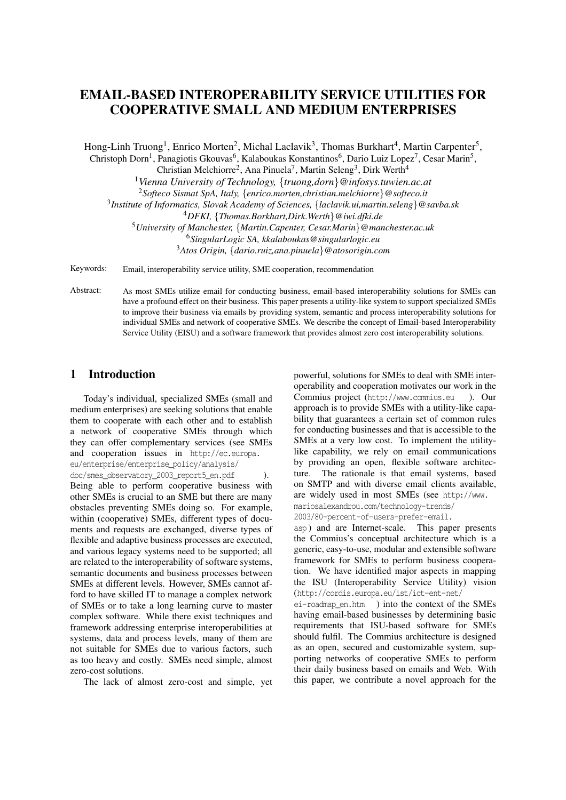# EMAIL-BASED INTEROPERABILITY SERVICE UTILITIES FOR COOPERATIVE SMALL AND MEDIUM ENTERPRISES

Hong-Linh Truong<sup>1</sup>, Enrico Morten<sup>2</sup>, Michal Laclavik<sup>3</sup>, Thomas Burkhart<sup>4</sup>, Martin Carpenter<sup>5</sup>, Christoph Dorn<sup>1</sup>, Panagiotis Gkouvas<sup>6</sup>, Kalaboukas Konstantinos<sup>6</sup>, Dario Luiz Lopez<sup>7</sup>, Cesar Marin<sup>5</sup>,

Christian Melchiorre<sup>2</sup>, Ana Pinuela<sup>7</sup>, Martin Seleng<sup>3</sup>, Dirk Werth<sup>4</sup>

<sup>1</sup>*Vienna University of Technology,* {*truong,dorn*}*@infosys.tuwien.ac.at*

<sup>2</sup>*Softeco Sismat SpA, Italy,* {*enrico.morten,christian.melchiorre*}*@softeco.it*

3 *Institute of Informatics, Slovak Academy of Sciences,* {*laclavik.ui,martin.seleng*}*@savba.sk*

<sup>4</sup>*DFKI,* {*Thomas.Borkhart,Dirk.Werth*}*@iwi.dfki.de*

<sup>5</sup>*University of Manchester,* {*Martin.Capenter, Cesar.Marin*}*@manchester.ac.uk*

<sup>6</sup>*SingularLogic SA, kkalaboukas@singularlogic.eu*

<sup>3</sup>*Atos Origin,* {*dario.ruiz,ana.pinuela*}*@atosorigin.com*

Keywords: Email, interoperability service utility, SME cooperation, recommendation

Abstract: As most SMEs utilize email for conducting business, email-based interoperability solutions for SMEs can have a profound effect on their business. This paper presents a utility-like system to support specialized SMEs to improve their business via emails by providing system, semantic and process interoperability solutions for individual SMEs and network of cooperative SMEs. We describe the concept of Email-based Interoperability Service Utility (EISU) and a software framework that provides almost zero cost interoperability solutions.

### 1 Introduction

Today's individual, specialized SMEs (small and medium enterprises) are seeking solutions that enable them to cooperate with each other and to establish a network of cooperative SMEs through which they can offer complementary services (see SMEs and cooperation issues in http://ec.europa. eu/enterprise/enterprise\_policy/analysis/ doc/smes\_observatory\_2003\_report5\_en.pdf ). Being able to perform cooperative business with other SMEs is crucial to an SME but there are many obstacles preventing SMEs doing so. For example, within (cooperative) SMEs, different types of documents and requests are exchanged, diverse types of flexible and adaptive business processes are executed, and various legacy systems need to be supported; all are related to the interoperability of software systems, semantic documents and business processes between SMEs at different levels. However, SMEs cannot afford to have skilled IT to manage a complex network of SMEs or to take a long learning curve to master complex software. While there exist techniques and framework addressing enterprise interoperabilities at systems, data and process levels, many of them are not suitable for SMEs due to various factors, such as too heavy and costly. SMEs need simple, almost zero-cost solutions.

The lack of almost zero-cost and simple, yet

powerful, solutions for SMEs to deal with SME interoperability and cooperation motivates our work in the Commius project (http://www.commius.eu ). Our approach is to provide SMEs with a utility-like capability that guarantees a certain set of common rules for conducting businesses and that is accessible to the SMEs at a very low cost. To implement the utilitylike capability, we rely on email communications by providing an open, flexible software architecture. The rationale is that email systems, based on SMTP and with diverse email clients available, are widely used in most SMEs (see http://www. mariosalexandrou.com/technology-trends/

2003/80-percent-of-users-prefer-email.

asp ) and are Internet-scale. This paper presents the Commius's conceptual architecture which is a generic, easy-to-use, modular and extensible software framework for SMEs to perform business cooperation. We have identified major aspects in mapping the ISU (Interoperability Service Utility) vision (http://cordis.europa.eu/ist/ict-ent-net/

ei-roadmap\_en.htm ) into the context of the SMEs having email-based businesses by determining basic requirements that ISU-based software for SMEs should fulfil. The Commius architecture is designed as an open, secured and customizable system, supporting networks of cooperative SMEs to perform their daily business based on emails and Web. With this paper, we contribute a novel approach for the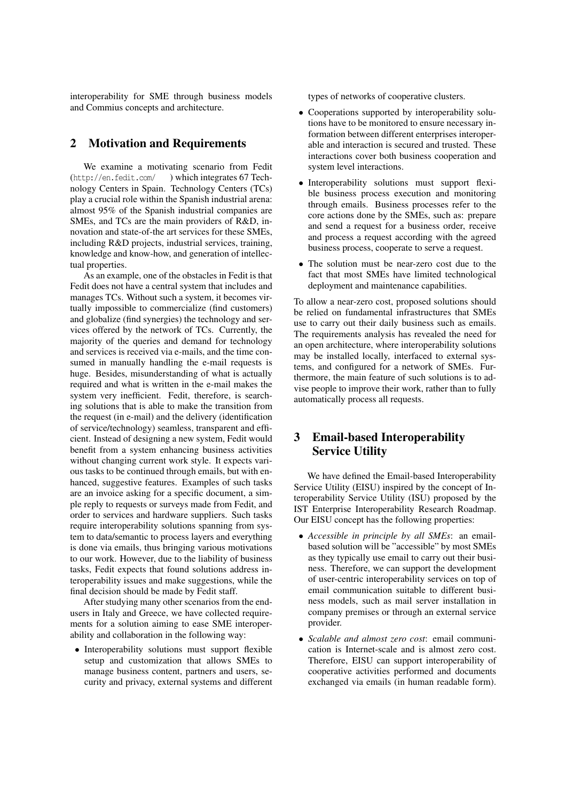interoperability for SME through business models and Commius concepts and architecture.

### 2 Motivation and Requirements

We examine a motivating scenario from Fedit (http://en.fedit.com/ ) which integrates 67 Technology Centers in Spain. Technology Centers (TCs) play a crucial role within the Spanish industrial arena: almost 95% of the Spanish industrial companies are SMEs, and TCs are the main providers of R&D, innovation and state-of-the art services for these SMEs, including R&D projects, industrial services, training, knowledge and know-how, and generation of intellectual properties.

As an example, one of the obstacles in Fedit is that Fedit does not have a central system that includes and manages TCs. Without such a system, it becomes virtually impossible to commercialize (find customers) and globalize (find synergies) the technology and services offered by the network of TCs. Currently, the majority of the queries and demand for technology and services is received via e-mails, and the time consumed in manually handling the e-mail requests is huge. Besides, misunderstanding of what is actually required and what is written in the e-mail makes the system very inefficient. Fedit, therefore, is searching solutions that is able to make the transition from the request (in e-mail) and the delivery (identification of service/technology) seamless, transparent and efficient. Instead of designing a new system, Fedit would benefit from a system enhancing business activities without changing current work style. It expects various tasks to be continued through emails, but with enhanced, suggestive features. Examples of such tasks are an invoice asking for a specific document, a simple reply to requests or surveys made from Fedit, and order to services and hardware suppliers. Such tasks require interoperability solutions spanning from system to data/semantic to process layers and everything is done via emails, thus bringing various motivations to our work. However, due to the liability of business tasks, Fedit expects that found solutions address interoperability issues and make suggestions, while the final decision should be made by Fedit staff.

After studying many other scenarios from the endusers in Italy and Greece, we have collected requirements for a solution aiming to ease SME interoperability and collaboration in the following way:

• Interoperability solutions must support flexible setup and customization that allows SMEs to manage business content, partners and users, security and privacy, external systems and different types of networks of cooperative clusters.

- Cooperations supported by interoperability solutions have to be monitored to ensure necessary information between different enterprises interoperable and interaction is secured and trusted. These interactions cover both business cooperation and system level interactions.
- Interoperability solutions must support flexible business process execution and monitoring through emails. Business processes refer to the core actions done by the SMEs, such as: prepare and send a request for a business order, receive and process a request according with the agreed business process, cooperate to serve a request.
- The solution must be near-zero cost due to the fact that most SMEs have limited technological deployment and maintenance capabilities.

To allow a near-zero cost, proposed solutions should be relied on fundamental infrastructures that SMEs use to carry out their daily business such as emails. The requirements analysis has revealed the need for an open architecture, where interoperability solutions may be installed locally, interfaced to external systems, and configured for a network of SMEs. Furthermore, the main feature of such solutions is to advise people to improve their work, rather than to fully automatically process all requests.

## 3 Email-based Interoperability Service Utility

We have defined the Email-based Interoperability Service Utility (EISU) inspired by the concept of Interoperability Service Utility (ISU) proposed by the IST Enterprise Interoperability Research Roadmap. Our EISU concept has the following properties:

- *Accessible in principle by all SMEs*: an emailbased solution will be "accessible" by most SMEs as they typically use email to carry out their business. Therefore, we can support the development of user-centric interoperability services on top of email communication suitable to different business models, such as mail server installation in company premises or through an external service provider.
- *Scalable and almost zero cost*: email communication is Internet-scale and is almost zero cost. Therefore, EISU can support interoperability of cooperative activities performed and documents exchanged via emails (in human readable form).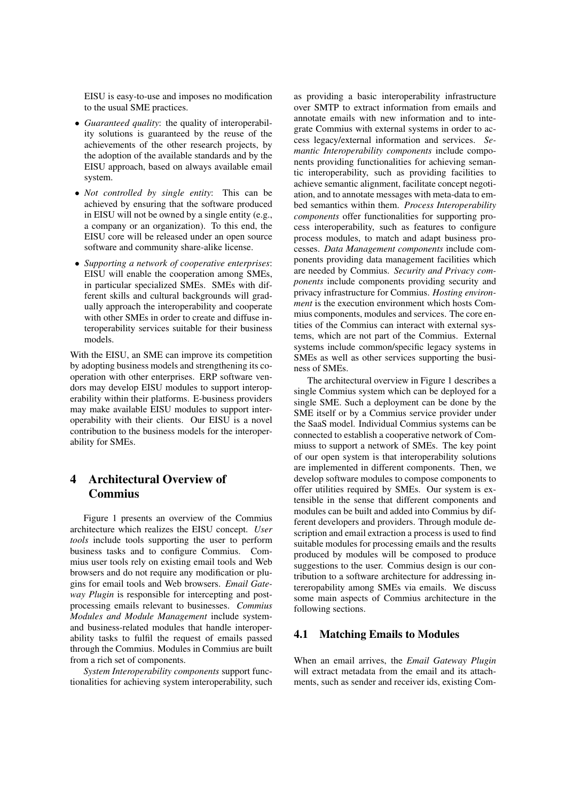EISU is easy-to-use and imposes no modification to the usual SME practices.

- *Guaranteed quality*: the quality of interoperability solutions is guaranteed by the reuse of the achievements of the other research projects, by the adoption of the available standards and by the EISU approach, based on always available email system.
- *Not controlled by single entity*: This can be achieved by ensuring that the software produced in EISU will not be owned by a single entity (e.g., a company or an organization). To this end, the EISU core will be released under an open source software and community share-alike license.
- *Supporting a network of cooperative enterprises*: EISU will enable the cooperation among SMEs, in particular specialized SMEs. SMEs with different skills and cultural backgrounds will gradually approach the interoperability and cooperate with other SMEs in order to create and diffuse interoperability services suitable for their business models.

With the EISU, an SME can improve its competition by adopting business models and strengthening its cooperation with other enterprises. ERP software vendors may develop EISU modules to support interoperability within their platforms. E-business providers may make available EISU modules to support interoperability with their clients. Our EISU is a novel contribution to the business models for the interoperability for SMEs.

## 4 Architectural Overview of Commius

Figure 1 presents an overview of the Commius architecture which realizes the EISU concept. *User tools* include tools supporting the user to perform business tasks and to configure Commius. Commius user tools rely on existing email tools and Web browsers and do not require any modification or plugins for email tools and Web browsers. *Email Gateway Plugin* is responsible for intercepting and postprocessing emails relevant to businesses. *Commius Modules and Module Management* include systemand business-related modules that handle interoperability tasks to fulfil the request of emails passed through the Commius. Modules in Commius are built from a rich set of components.

*System Interoperability components* support functionalities for achieving system interoperability, such

as providing a basic interoperability infrastructure over SMTP to extract information from emails and annotate emails with new information and to integrate Commius with external systems in order to access legacy/external information and services. *Semantic Interoperability components* include components providing functionalities for achieving semantic interoperability, such as providing facilities to achieve semantic alignment, facilitate concept negotiation, and to annotate messages with meta-data to embed semantics within them. *Process Interoperability components* offer functionalities for supporting process interoperability, such as features to configure process modules, to match and adapt business processes. *Data Management components* include components providing data management facilities which are needed by Commius. *Security and Privacy components* include components providing security and privacy infrastructure for Commius. *Hosting environment* is the execution environment which hosts Commius components, modules and services. The core entities of the Commius can interact with external systems, which are not part of the Commius. External systems include common/specific legacy systems in SMEs as well as other services supporting the business of SMEs.

The architectural overview in Figure 1 describes a single Commius system which can be deployed for a single SME. Such a deployment can be done by the SME itself or by a Commius service provider under the SaaS model. Individual Commius systems can be connected to establish a cooperative network of Commiuss to support a network of SMEs. The key point of our open system is that interoperability solutions are implemented in different components. Then, we develop software modules to compose components to offer utilities required by SMEs. Our system is extensible in the sense that different components and modules can be built and added into Commius by different developers and providers. Through module description and email extraction a process is used to find suitable modules for processing emails and the results produced by modules will be composed to produce suggestions to the user. Commius design is our contribution to a software architecture for addressing intereropability among SMEs via emails. We discuss some main aspects of Commius architecture in the following sections.

#### 4.1 Matching Emails to Modules

When an email arrives, the *Email Gateway Plugin* will extract metadata from the email and its attachments, such as sender and receiver ids, existing Com-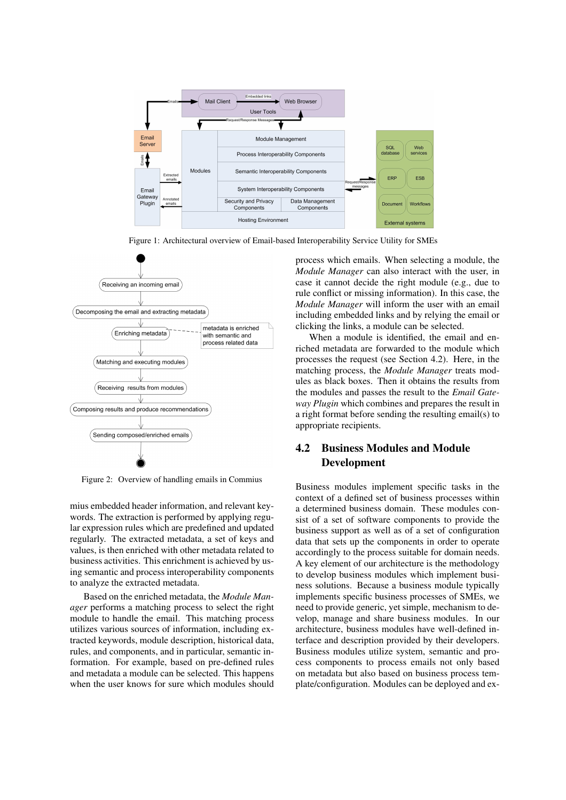

Figure 1: Architectural overview of Email-based Interoperability Service Utility for SMEs



Figure 2: Overview of handling emails in Commius

mius embedded header information, and relevant keywords. The extraction is performed by applying regular expression rules which are predefined and updated regularly. The extracted metadata, a set of keys and values, is then enriched with other metadata related to business activities. This enrichment is achieved by using semantic and process interoperability components to analyze the extracted metadata.

Based on the enriched metadata, the *Module Manager* performs a matching process to select the right module to handle the email. This matching process utilizes various sources of information, including extracted keywords, module description, historical data, rules, and components, and in particular, semantic information. For example, based on pre-defined rules and metadata a module can be selected. This happens when the user knows for sure which modules should

process which emails. When selecting a module, the *Module Manager* can also interact with the user, in case it cannot decide the right module (e.g., due to rule conflict or missing information). In this case, the *Module Manager* will inform the user with an email including embedded links and by relying the email or clicking the links, a module can be selected.

When a module is identified, the email and enriched metadata are forwarded to the module which processes the request (see Section 4.2). Here, in the matching process, the *Module Manager* treats modules as black boxes. Then it obtains the results from the modules and passes the result to the *Email Gateway Plugin* which combines and prepares the result in a right format before sending the resulting email(s) to appropriate recipients.

## 4.2 Business Modules and Module Development

Business modules implement specific tasks in the context of a defined set of business processes within a determined business domain. These modules consist of a set of software components to provide the business support as well as of a set of configuration data that sets up the components in order to operate accordingly to the process suitable for domain needs. A key element of our architecture is the methodology to develop business modules which implement business solutions. Because a business module typically implements specific business processes of SMEs, we need to provide generic, yet simple, mechanism to develop, manage and share business modules. In our architecture, business modules have well-defined interface and description provided by their developers. Business modules utilize system, semantic and process components to process emails not only based on metadata but also based on business process template/configuration. Modules can be deployed and ex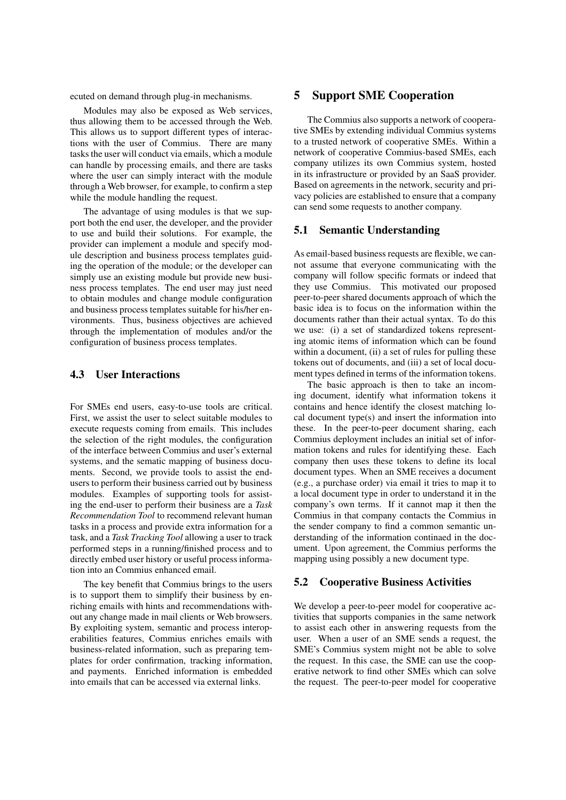ecuted on demand through plug-in mechanisms.

Modules may also be exposed as Web services, thus allowing them to be accessed through the Web. This allows us to support different types of interactions with the user of Commius. There are many tasks the user will conduct via emails, which a module can handle by processing emails, and there are tasks where the user can simply interact with the module through a Web browser, for example, to confirm a step while the module handling the request.

The advantage of using modules is that we support both the end user, the developer, and the provider to use and build their solutions. For example, the provider can implement a module and specify module description and business process templates guiding the operation of the module; or the developer can simply use an existing module but provide new business process templates. The end user may just need to obtain modules and change module configuration and business process templates suitable for his/her environments. Thus, business objectives are achieved through the implementation of modules and/or the configuration of business process templates.

#### 4.3 User Interactions

For SMEs end users, easy-to-use tools are critical. First, we assist the user to select suitable modules to execute requests coming from emails. This includes the selection of the right modules, the configuration of the interface between Commius and user's external systems, and the sematic mapping of business documents. Second, we provide tools to assist the endusers to perform their business carried out by business modules. Examples of supporting tools for assisting the end-user to perform their business are a *Task Recommendation Tool* to recommend relevant human tasks in a process and provide extra information for a task, and a *Task Tracking Tool* allowing a user to track performed steps in a running/finished process and to directly embed user history or useful process information into an Commius enhanced email.

The key benefit that Commius brings to the users is to support them to simplify their business by enriching emails with hints and recommendations without any change made in mail clients or Web browsers. By exploiting system, semantic and process interoperabilities features, Commius enriches emails with business-related information, such as preparing templates for order confirmation, tracking information, and payments. Enriched information is embedded into emails that can be accessed via external links.

### 5 Support SME Cooperation

The Commius also supports a network of cooperative SMEs by extending individual Commius systems to a trusted network of cooperative SMEs. Within a network of cooperative Commius-based SMEs, each company utilizes its own Commius system, hosted in its infrastructure or provided by an SaaS provider. Based on agreements in the network, security and privacy policies are established to ensure that a company can send some requests to another company.

#### 5.1 Semantic Understanding

As email-based business requests are flexible, we cannot assume that everyone communicating with the company will follow specific formats or indeed that they use Commius. This motivated our proposed peer-to-peer shared documents approach of which the basic idea is to focus on the information within the documents rather than their actual syntax. To do this we use: (i) a set of standardized tokens representing atomic items of information which can be found within a document, (ii) a set of rules for pulling these tokens out of documents, and (iii) a set of local document types defined in terms of the information tokens.

The basic approach is then to take an incoming document, identify what information tokens it contains and hence identify the closest matching local document type(s) and insert the information into these. In the peer-to-peer document sharing, each Commius deployment includes an initial set of information tokens and rules for identifying these. Each company then uses these tokens to define its local document types. When an SME receives a document (e.g., a purchase order) via email it tries to map it to a local document type in order to understand it in the company's own terms. If it cannot map it then the Commius in that company contacts the Commius in the sender company to find a common semantic understanding of the information continaed in the document. Upon agreement, the Commius performs the mapping using possibly a new document type.

#### 5.2 Cooperative Business Activities

We develop a peer-to-peer model for cooperative activities that supports companies in the same network to assist each other in answering requests from the user. When a user of an SME sends a request, the SME's Commius system might not be able to solve the request. In this case, the SME can use the cooperative network to find other SMEs which can solve the request. The peer-to-peer model for cooperative